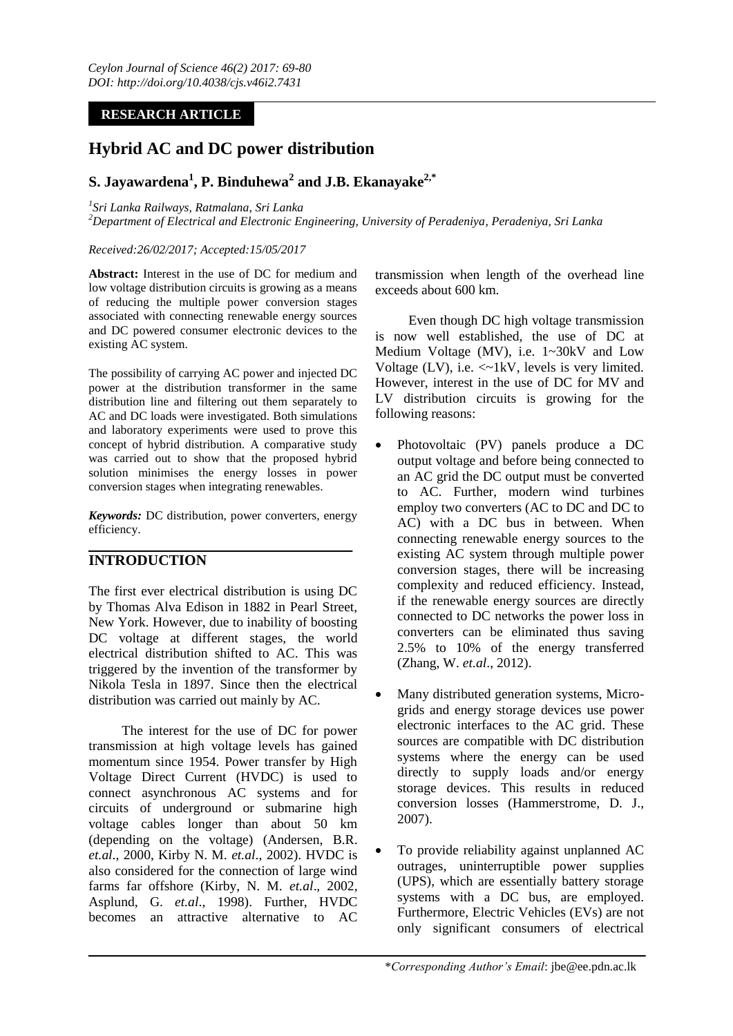## **RESEARCH ARTICLE**

# **Hybrid AC and DC power distribution**

# **S. Jayawardena<sup>1</sup> , P. Binduhewa<sup>2</sup> and J.B. Ekanayake2,\***

*1 Sri Lanka Railways, Ratmalana, Sri Lanka*

*<sup>2</sup>Department of Electrical and Electronic Engineering, University of Peradeniya, Peradeniya, Sri Lanka*

## *Received:26/02/2017; Accepted:15/05/2017*

**Abstract:** Interest in the use of DC for medium and low voltage distribution circuits is growing as a means of reducing the multiple power conversion stages associated with connecting renewable energy sources and DC powered consumer electronic devices to the existing AC system.

The possibility of carrying AC power and injected DC power at the distribution transformer in the same distribution line and filtering out them separately to AC and DC loads were investigated. Both simulations and laboratory experiments were used to prove this concept of hybrid distribution. A comparative study was carried out to show that the proposed hybrid solution minimises the energy losses in power conversion stages when integrating renewables.

*Keywords:* DC distribution, power converters, energy efficiency.

## **INTRODUCTION**

The first ever electrical distribution is using DC by Thomas Alva Edison in 1882 in Pearl Street, New York. However, due to inability of boosting DC voltage at different stages, the world electrical distribution shifted to AC. This was triggered by the invention of the transformer by Nikola Tesla in 1897. Since then the electrical distribution was carried out mainly by AC.

The interest for the use of DC for power transmission at high voltage levels has gained momentum since 1954. Power transfer by High Voltage Direct Current (HVDC) is used to connect asynchronous AC systems and for circuits of underground or submarine high voltage cables longer than about 50 km (depending on the voltage) (Andersen, B.R. *et.al*., 2000, Kirby N. M. *et.al*., 2002). HVDC is also considered for the connection of large wind farms far offshore (Kirby, N. M. *et.al*., 2002, Asplund, G. *et.al*., 1998). Further, HVDC becomes an attractive alternative to AC

transmission when length of the overhead line exceeds about 600 km.

Even though DC high voltage transmission is now well established, the use of DC at Medium Voltage (MV), i.e. 1~30kV and Low Voltage (LV), i.e. <~1kV, levels is very limited. However, interest in the use of DC for MV and LV distribution circuits is growing for the following reasons:

- Photovoltaic (PV) panels produce a DC output voltage and before being connected to an AC grid the DC output must be converted to AC. Further, modern wind turbines employ two converters (AC to DC and DC to AC) with a DC bus in between. When connecting renewable energy sources to the existing AC system through multiple power conversion stages, there will be increasing complexity and reduced efficiency. Instead, if the renewable energy sources are directly connected to DC networks the power loss in converters can be eliminated thus saving 2.5% to 10% of the energy transferred (Zhang, W. *et.al*., 2012).
- Many distributed generation systems, Microgrids and energy storage devices use power electronic interfaces to the AC grid. These sources are compatible with DC distribution systems where the energy can be used directly to supply loads and/or energy storage devices. This results in reduced conversion losses (Hammerstrome, D. J., 2007).
- To provide reliability against unplanned AC outrages, uninterruptible power supplies (UPS), which are essentially battery storage systems with a DC bus, are employed. Furthermore, Electric Vehicles (EVs) are not only significant consumers of electrical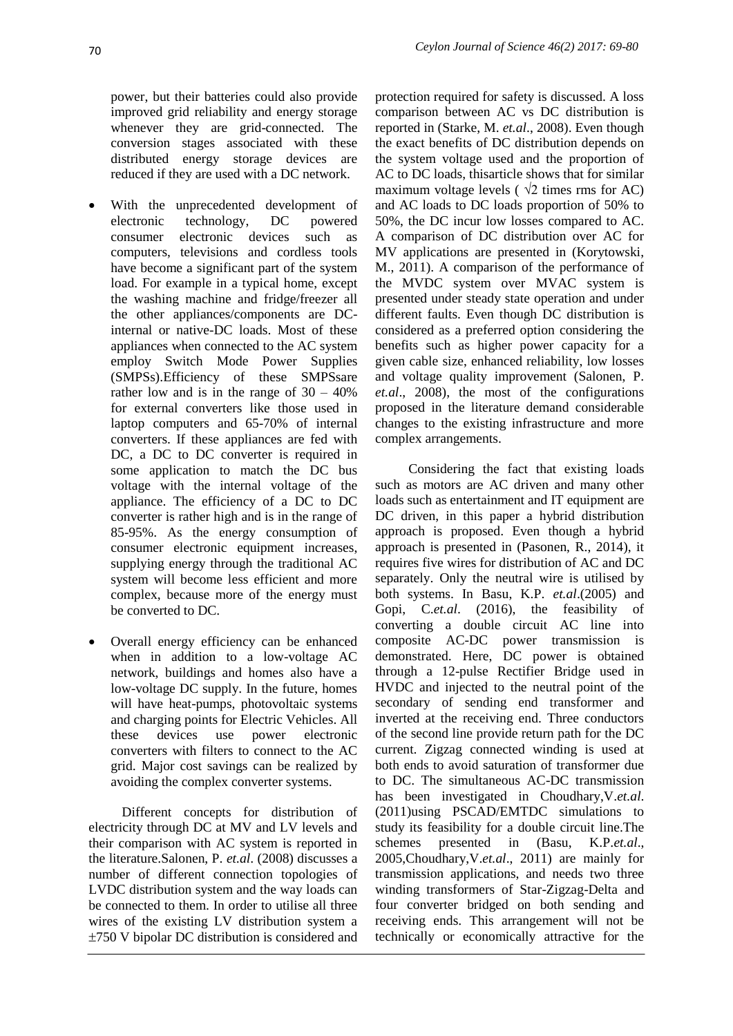power, but their batteries could also provide improved grid reliability and energy storage whenever they are grid-connected. The conversion stages associated with these distributed energy storage devices are reduced if they are used with a DC network.

- With the unprecedented development of electronic technology, DC powered consumer electronic devices such as computers, televisions and cordless tools have become a significant part of the system load. For example in a typical home, except the washing machine and fridge/freezer all the other appliances/components are DCinternal or native-DC loads. Most of these appliances when connected to the AC system employ Switch Mode Power Supplies (SMPSs).Efficiency of these SMPSsare rather low and is in the range of  $30 - 40\%$ for external converters like those used in laptop computers and 65-70% of internal converters. If these appliances are fed with DC, a DC to DC converter is required in some application to match the DC bus voltage with the internal voltage of the appliance. The efficiency of a DC to DC converter is rather high and is in the range of 85-95%. As the energy consumption of consumer electronic equipment increases, supplying energy through the traditional AC system will become less efficient and more complex, because more of the energy must be converted to DC.
- Overall energy efficiency can be enhanced when in addition to a low-voltage AC network, buildings and homes also have a low-voltage DC supply. In the future, homes will have heat-pumps, photovoltaic systems and charging points for Electric Vehicles. All these devices use power electronic converters with filters to connect to the AC grid. Major cost savings can be realized by avoiding the complex converter systems.

Different concepts for distribution of electricity through DC at MV and LV levels and their comparison with AC system is reported in the literature.Salonen, P. *et.al*. (2008) discusses a number of different connection topologies of LVDC distribution system and the way loads can be connected to them. In order to utilise all three wires of the existing LV distribution system a 750 V bipolar DC distribution is considered and

protection required for safety is discussed. A loss comparison between AC vs DC distribution is reported in (Starke, M. *et.al*., 2008). Even though the exact benefits of DC distribution depends on the system voltage used and the proportion of AC to DC loads, thisarticle shows that for similar maximum voltage levels ( $\sqrt{2}$  times rms for AC) and AC loads to DC loads proportion of 50% to 50%, the DC incur low losses compared to AC. A comparison of DC distribution over AC for MV applications are presented in (Korytowski, M., 2011). A comparison of the performance of the MVDC system over MVAC system is presented under steady state operation and under different faults. Even though DC distribution is considered as a preferred option considering the benefits such as higher power capacity for a given cable size, enhanced reliability, low losses and voltage quality improvement (Salonen, P. *et.al*., 2008), the most of the configurations proposed in the literature demand considerable changes to the existing infrastructure and more complex arrangements.

Considering the fact that existing loads such as motors are AC driven and many other loads such as entertainment and IT equipment are DC driven, in this paper a hybrid distribution approach is proposed. Even though a hybrid approach is presented in (Pasonen, R., 2014), it requires five wires for distribution of AC and DC separately. Only the neutral wire is utilised by both systems. In Basu, K.P. *et.al*.(2005) and Gopi, C.*et.al*. (2016), the feasibility of converting a double circuit AC line into composite AC-DC power transmission is demonstrated. Here, DC power is obtained through a 12-pulse Rectifier Bridge used in HVDC and injected to the neutral point of the secondary of sending end transformer and inverted at the receiving end. Three conductors of the second line provide return path for the DC current. Zigzag connected winding is used at both ends to avoid saturation of transformer due to DC. The simultaneous AC-DC transmission has been investigated in Choudhary,V.*et.al*. (2011)using PSCAD/EMTDC simulations to study its feasibility for a double circuit line.The schemes presented in (Basu, K.P.*et.al*., 2005,Choudhary,V.*et.al*., 2011) are mainly for transmission applications, and needs two three winding transformers of Star-Zigzag-Delta and four converter bridged on both sending and receiving ends. This arrangement will not be technically or economically attractive for the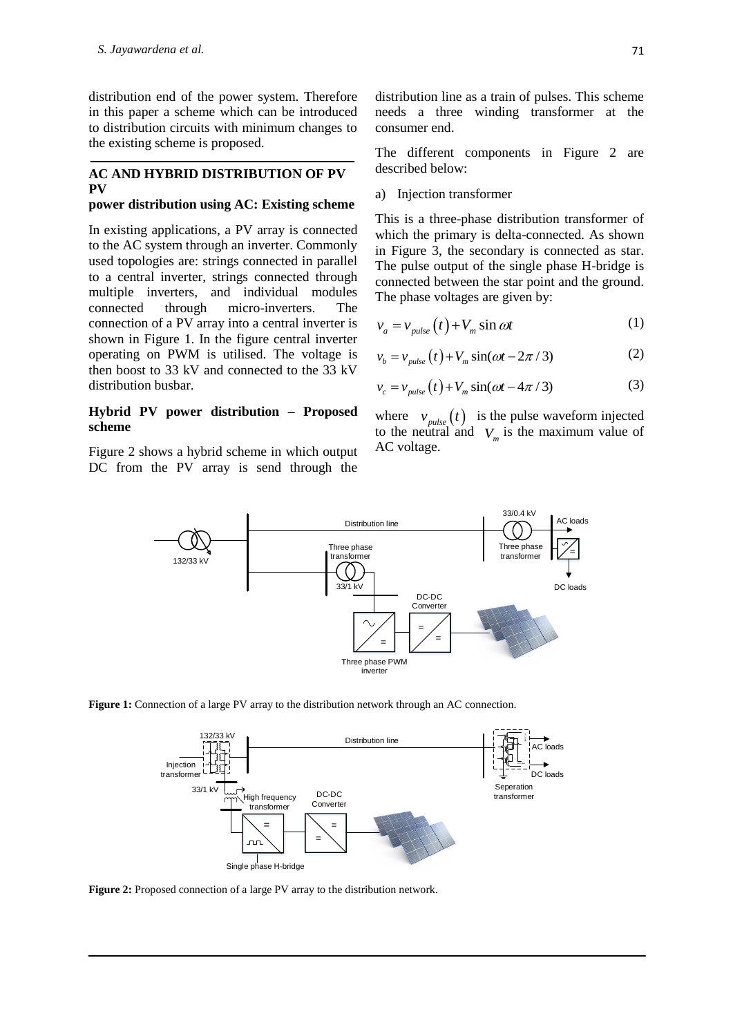distribution end of the power system. Therefore in this paper a scheme which can be introduced to distribution circuits with minimum changes to the existing scheme is proposed.

## **AC AND HYBRID DISTRIBUTION OF PV PV**

#### **power distribution using AC: Existing scheme**

In existing applications, a PV array is connected to the AC system through an inverter. Commonly used topologies are: strings connected in parallel to a central inverter, strings connected through multiple inverters, and individual modules connected through micro-inverters. The connection of a PV array into a central inverter is shown in Figure 1. In the figure central inverter operating on PWM is utilised. The voltage is then boost to 33 kV and connected to the 33 kV distribution busbar.

## **Hybrid PV power distribution – Proposed scheme**

Figure 2 shows a hybrid scheme in which output DC from the PV array is send through the distribution line as a train of pulses. This scheme needs a three winding transformer at the consumer end.

The different components in Figure 2 are described below:

#### a) Injection transformer

This is a three-phase distribution transformer of which the primary is delta-connected. As shown in Figure 3, the secondary is connected as star. The pulse output of the single phase H-bridge is connected between the star point and the ground. The phase voltages are given by:

$$
v_a = v_{pulse}(t) + V_m \sin \omega t \tag{1}
$$

$$
v_b = v_{pulse}(t) + V_m \sin(\omega t - 2\pi / 3)
$$
 (2)

$$
v_c = v_{pulse}(t) + V_m \sin(\omega t - 4\pi / 3)
$$
 (3)

where  $v_{pulse}(t)$  is the pulse waveform injected to the neutral and  $V_m$  is the maximum value of AC voltage.







Figure 2: Proposed connection of a large PV array to the distribution network.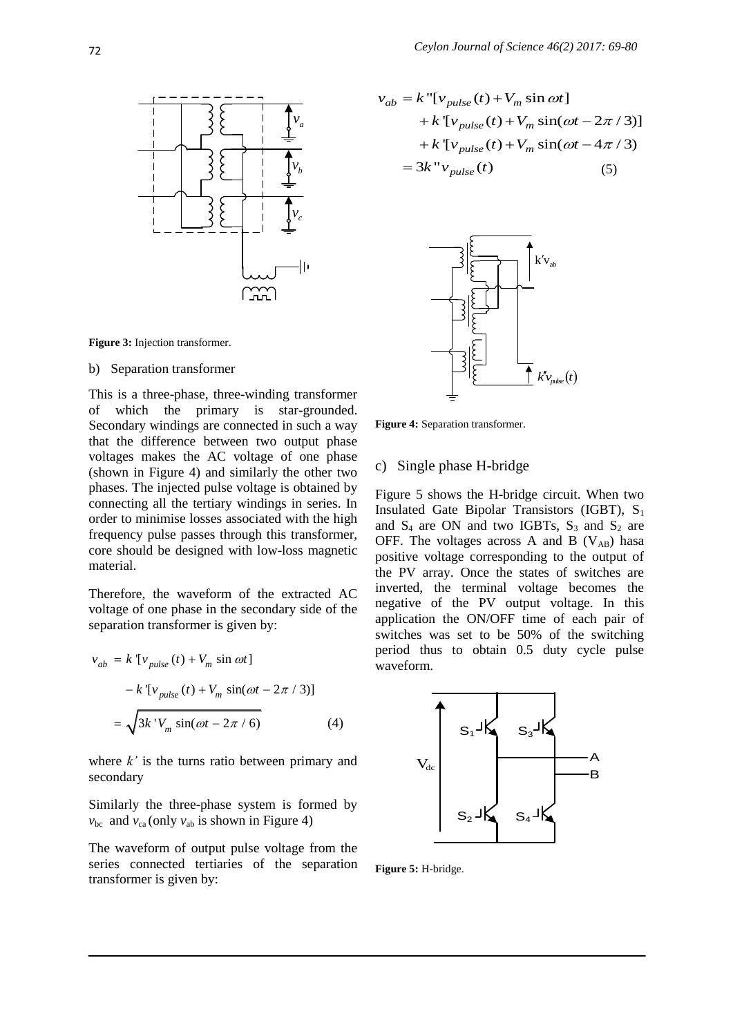

**Figure 3:** Injection transformer.

#### b) Separation transformer

This is a three-phase, three-winding transformer of which the primary is star-grounded. Secondary windings are connected in such a way that the difference between two output phase voltages makes the AC voltage of one phase (shown in Figure 4) and similarly the other two phases. The injected pulse voltage is obtained by connecting all the tertiary windings in series. In order to minimise losses associated with the high frequency pulse passes through this transformer, core should be designed with low-loss magnetic material.

Therefore, the waveform of the extracted AC voltage of one phase in the secondary side of the separation transformer is given by:

$$
v_{ab} = k \left[ v_{pulse}(t) + V_m \sin \omega t \right]
$$

$$
- k \left[ v_{pulse}(t) + V_m \sin(\omega t - 2\pi / 3) \right]
$$

$$
= \sqrt{3k'V_m \sin(\omega t - 2\pi / 6)} \tag{4}
$$

where *k'* is the turns ratio between primary and secondary

Similarly the three-phase system is formed by  $v_{bc}$  and  $v_{ca}$  (only  $v_{ab}$  is shown in Figure 4)

The waveform of output pulse voltage from the series connected tertiaries of the separation transformer is given by:

$$
v_{ab} = k \text{''}[v_{pulse}(t) + V_m \sin \omega t]
$$
  
\n
$$
v_a
$$
  
\n
$$
+ k \text{''}[v_{pulse}(t) + V_m \sin(\omega t - 2\pi / 3)]
$$
  
\n
$$
+ k \text{''}[v_{pulse}(t) + V_m \sin(\omega t - 4\pi / 3)]
$$
  
\n
$$
= 3k \text{''}v_{pulse}(t)
$$
  
\n(5)



**Figure 4:** Separation transformer.

## c) Single phase H-bridge

Figure 5 shows the H-bridge circuit. When two Insulated Gate Bipolar Transistors (IGBT),  $S_1$ and  $S_4$  are ON and two IGBTs,  $S_3$  and  $S_2$  are OFF. The voltages across A and B  $(V_{AB})$  hasa positive voltage corresponding to the output of the PV array. Once the states of switches are inverted, the terminal voltage becomes the negative of the PV output voltage. In this application the ON/OFF time of each pair of switches was set to be 50% of the switching period thus to obtain 0.5 duty cycle pulse waveform.



**Figure 5:** H-bridge.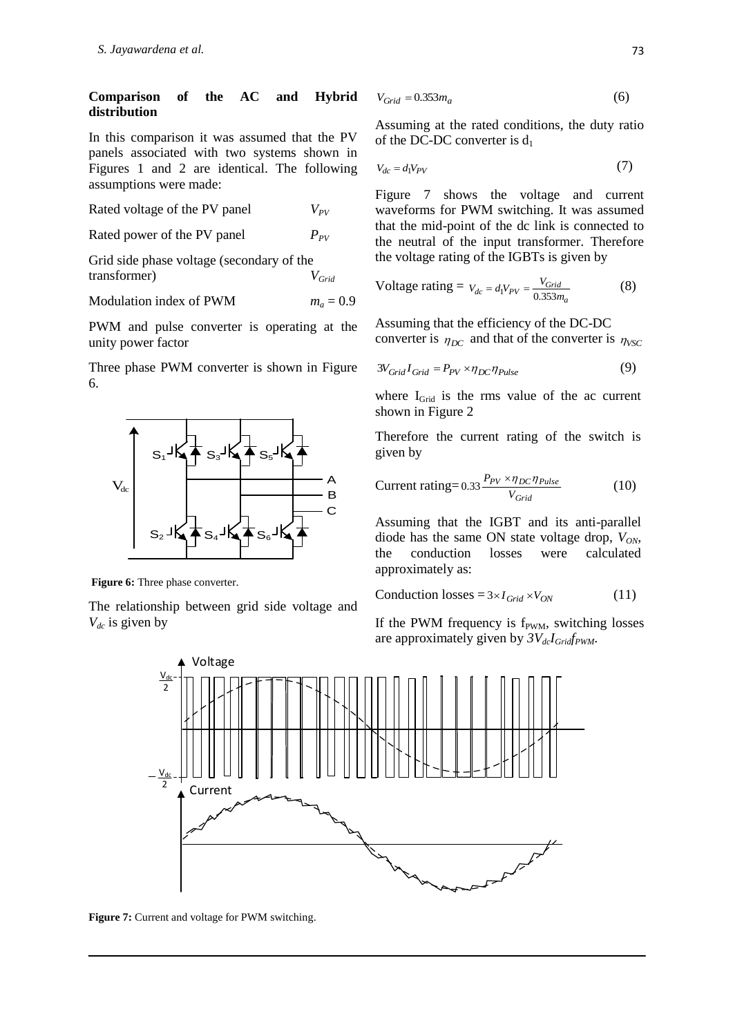### **Comparison of the AC and Hybrid distribution**

In this comparison it was assumed that the PV panels associated with two systems shown in Figures 1 and 2 are identical. The following assumptions were made:

Rated voltage of the PV panel *VPV*

Rated power of the PV panel  $P_{PV}$ 

Grid side phase voltage (secondary of the transformer) *VGrid*

Modulation index of PWM 
$$
m_a = 0.9
$$

PWM and pulse converter is operating at the unity power factor

Three phase PWM converter is shown in Figure 6.



**Figure 6:** Three phase converter.

The relationship between grid side voltage and *Vdc* is given by

$$
V_{Grid} = 0.353m_a \tag{6}
$$

Assuming at the rated conditions, the duty ratio of the DC-DC converter is  $d_1$ 

$$
V_{dc} = d_1 V_{PV} \tag{7}
$$

Figure 7 shows the voltage and current waveforms for PWM switching. It was assumed that the mid-point of the dc link is connected to the neutral of the input transformer. Therefore the voltage rating of the IGBTs is given by

$$
Voltage rating = V_{dc} = d_1 V_{PV} = \frac{V_{Grid}}{0.353 m_a}
$$
 (8)

Assuming that the efficiency of the DC-DC converter is  $\eta_{DC}$  and that of the converter is  $\eta_{VSC}$ 

$$
3V_{Grid}I_{Grid} = P_{PV} \times \eta_{DC} \eta_{Pulse}
$$
 (9)

where I<sub>Grid</sub> is the rms value of the ac current shown in Figure 2

Therefore the current rating of the switch is given by

$$
Current rating = 0.33 \frac{P_{PV} \times \eta_{DC} \eta_{Pulse}}{V_{Grid}} \tag{10}
$$

Assuming that the IGBT and its anti-parallel diode has the same ON state voltage drop, *VON*, the conduction losses were calculated approximately as:

$$
Conduction losses = 3 \times I_{Grid} \times V_{ON}
$$
 (11)

If the PWM frequency is  $f_{\text{PWM}}$ , switching losses are approximately given by *3VdcIGridfPWM*.



Figure 7: Current and voltage for PWM switching.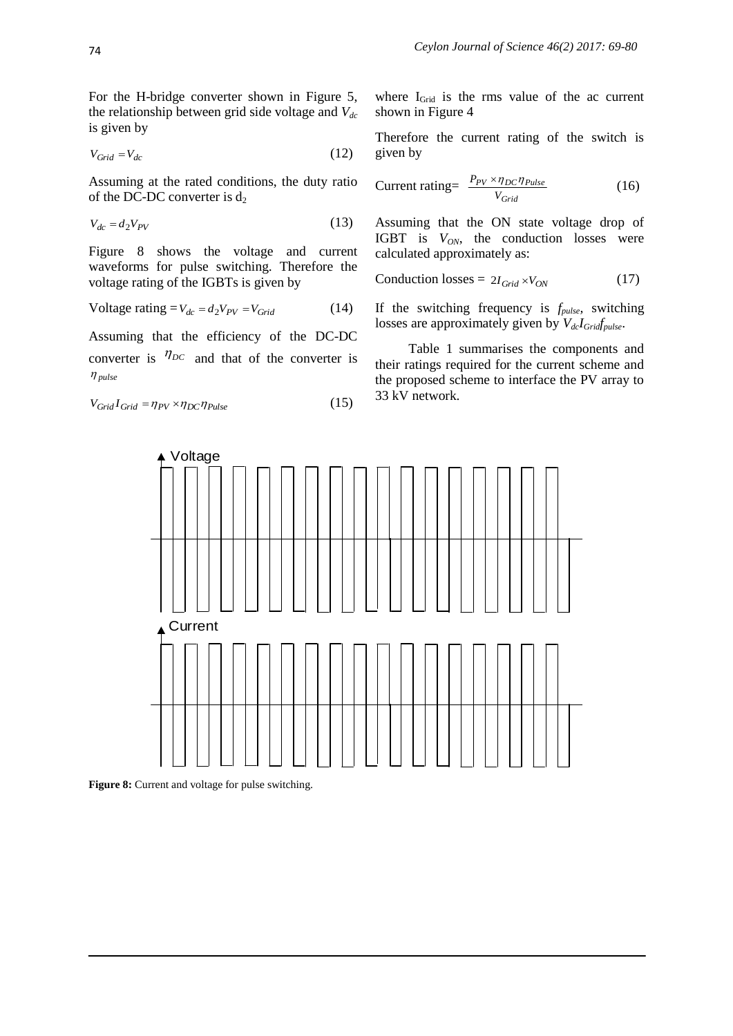For the H-bridge converter shown in Figure 5, the relationship between grid side voltage and *Vdc* is given by

$$
V_{Grid} = V_{dc} \tag{12}
$$

Assuming at the rated conditions, the duty ratio of the DC-DC converter is  $d_2$ 

$$
V_{dc} = d_2 V_{PV} \tag{13}
$$

Figure 8 shows the voltage and current waveforms for pulse switching. Therefore the voltage rating of the IGBTs is given by

$$
Voltage rating = V_{dc} = d_2 V_{PV} = V_{Grid}
$$
 (14)

Assuming that the efficiency of the DC-DC converter is  $\eta_{DC}$  and that of the converter is *pulse*

$$
V_{Grid}I_{Grid} = \eta_{PV} \times \eta_{DC} \eta_{Pulse}
$$
 (15)

where  $I_{\text{Grid}}$  is the rms value of the ac current shown in Figure 4

Therefore the current rating of the switch is given by

$$
Current rating = \frac{P_{PV} \times \eta_{DC} \eta_{Pulse}}{V_{Grid}} \tag{16}
$$

Assuming that the ON state voltage drop of IGBT is *VON*, the conduction losses were calculated approximately as:

$$
Conduction losses = 2I_{Grid} \times V_{ON} \tag{17}
$$

If the switching frequency is *fpulse,* switching losses are approximately given by *VdcIGridfpulse*.

Table 1 summarises the components and their ratings required for the current scheme and the proposed scheme to interface the PV array to 33 kV network.



**Figure 8:** Current and voltage for pulse switching.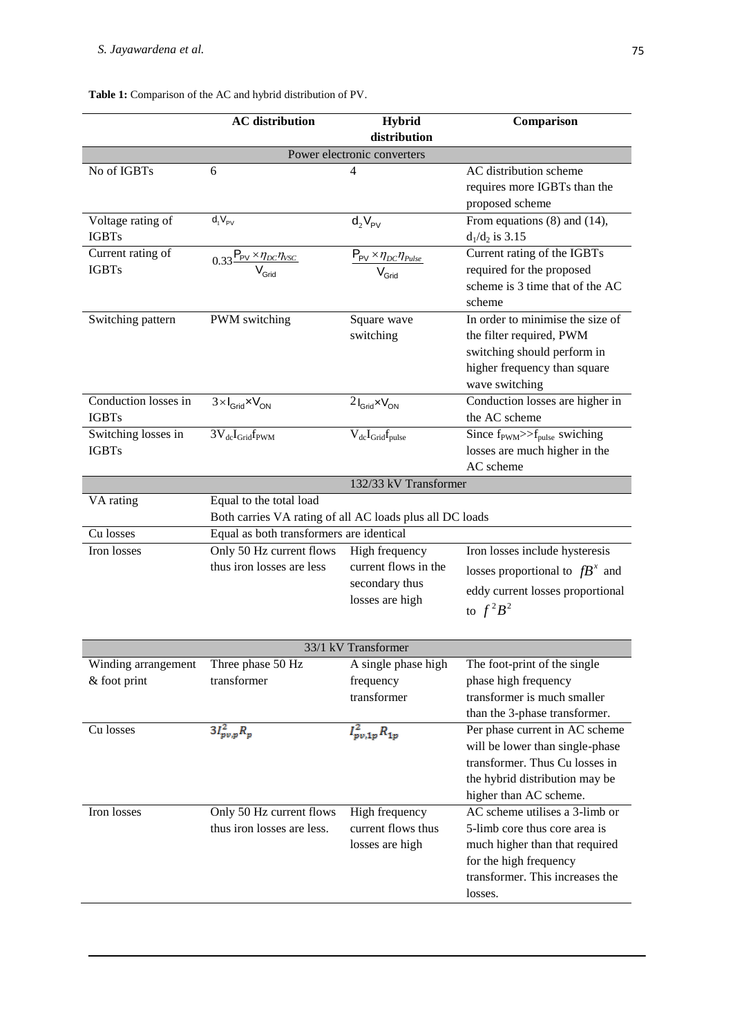|                                      | <b>AC</b> distribution                                                              | <b>Hybrid</b>                                                     | Comparison                                                                                                                                                      |  |  |
|--------------------------------------|-------------------------------------------------------------------------------------|-------------------------------------------------------------------|-----------------------------------------------------------------------------------------------------------------------------------------------------------------|--|--|
|                                      |                                                                                     | distribution                                                      |                                                                                                                                                                 |  |  |
|                                      |                                                                                     | Power electronic converters                                       |                                                                                                                                                                 |  |  |
| No of IGBTs                          | 6                                                                                   | 4                                                                 | AC distribution scheme<br>requires more IGBTs than the<br>proposed scheme                                                                                       |  |  |
| Voltage rating of<br><b>IGBTs</b>    | $d_1V_{PV}$                                                                         | $d_2V_{PV}$                                                       | From equations $(8)$ and $(14)$ ,<br>$d_1/d_2$ is 3.15                                                                                                          |  |  |
| Current rating of<br><b>IGBTs</b>    | $0.33 \frac{P_{PV} \times \eta_{DC} \eta_{VSC}}{V_{Grid}}$                          | $P_{PV} \times \eta_{DC} \eta_{pulse}$<br>$\bar{V}_{\text{Grid}}$ | Current rating of the IGBTs<br>required for the proposed<br>scheme is 3 time that of the AC<br>scheme                                                           |  |  |
| Switching pattern                    | PWM switching                                                                       | Square wave<br>switching                                          | In order to minimise the size of<br>the filter required, PWM<br>switching should perform in<br>higher frequency than square<br>wave switching                   |  |  |
| Conduction losses in<br><b>IGBTs</b> | $3 \times I_{\text{Grid}} \times V_{\text{ON}}$                                     | $2I_{\text{Grid}}$ $\times$ $V_{\text{ON}}$                       | Conduction losses are higher in<br>the AC scheme                                                                                                                |  |  |
| Switching losses in<br><b>IGBTs</b>  | $3V_{dc}I_{Grid}f_{PWM}$                                                            | $V_{dc}I_{Grid}f_{pulse}$                                         | Since $f_{\text{PWM}}>> f_{\text{pulse}}$ swiching<br>losses are much higher in the<br>AC scheme                                                                |  |  |
|                                      |                                                                                     | 132/33 kV Transformer                                             |                                                                                                                                                                 |  |  |
| VA rating                            | Equal to the total load<br>Both carries VA rating of all AC loads plus all DC loads |                                                                   |                                                                                                                                                                 |  |  |
| Cu losses                            | Equal as both transformers are identical                                            |                                                                   |                                                                                                                                                                 |  |  |
| Iron losses                          | Only 50 Hz current flows                                                            | High frequency                                                    | Iron losses include hysteresis                                                                                                                                  |  |  |
|                                      | thus iron losses are less                                                           | current flows in the<br>secondary thus                            | losses proportional to $fB^x$ and                                                                                                                               |  |  |
|                                      |                                                                                     | losses are high                                                   | eddy current losses proportional<br>to $f^2B^2$                                                                                                                 |  |  |
| 33/1 kV Transformer                  |                                                                                     |                                                                   |                                                                                                                                                                 |  |  |
| Winding arrangement                  | Three phase 50 Hz                                                                   | A single phase high                                               | The foot-print of the single                                                                                                                                    |  |  |
| & foot print                         | transformer                                                                         | frequency<br>transformer                                          | phase high frequency<br>transformer is much smaller<br>than the 3-phase transformer.                                                                            |  |  |
| Cu losses                            | $3I_{pv,p}^2R_p$                                                                    | $I_{pv,1p}^2 R_{1p}$                                              | Per phase current in AC scheme<br>will be lower than single-phase<br>transformer. Thus Cu losses in<br>the hybrid distribution may be<br>higher than AC scheme. |  |  |
| Iron losses                          | Only 50 Hz current flows<br>thus iron losses are less.                              | High frequency<br>current flows thus<br>losses are high           | AC scheme utilises a 3-limb or<br>5-limb core thus core area is<br>much higher than that required<br>for the high frequency<br>transformer. This increases the  |  |  |

losses.

## **Table 1:** Comparison of the AC and hybrid distribution of PV.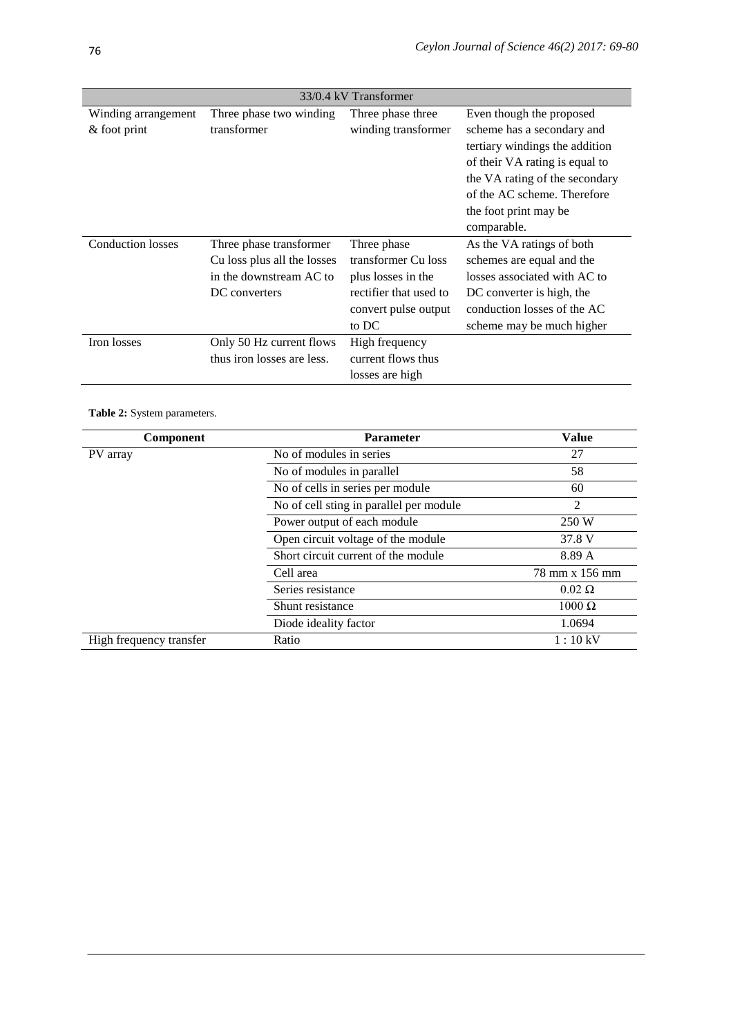| 33/0.4 kV Transformer    |                             |                        |                                |  |  |
|--------------------------|-----------------------------|------------------------|--------------------------------|--|--|
| Winding arrangement      | Three phase two winding     | Three phase three      | Even though the proposed       |  |  |
| $&$ foot print           | transformer                 | winding transformer    | scheme has a secondary and     |  |  |
|                          |                             |                        | tertiary windings the addition |  |  |
|                          |                             |                        | of their VA rating is equal to |  |  |
|                          |                             |                        | the VA rating of the secondary |  |  |
|                          |                             |                        | of the AC scheme. Therefore    |  |  |
|                          |                             |                        | the foot print may be          |  |  |
|                          |                             |                        | comparable.                    |  |  |
| <b>Conduction losses</b> | Three phase transformer     | Three phase            | As the VA ratings of both      |  |  |
|                          | Cu loss plus all the losses | transformer Cu loss    | schemes are equal and the      |  |  |
|                          | in the downstream AC to     | plus losses in the     | losses associated with AC to   |  |  |
|                          | DC converters               | rectifier that used to | DC converter is high, the      |  |  |
|                          |                             | convert pulse output   | conduction losses of the AC    |  |  |
|                          |                             | to DC                  | scheme may be much higher      |  |  |
| Iron losses              | Only 50 Hz current flows    | High frequency         |                                |  |  |
|                          | thus iron losses are less.  | current flows thus     |                                |  |  |
|                          |                             | losses are high        |                                |  |  |

**Table 2:** System parameters.

| Component               | <b>Parameter</b>                        | <b>Value</b>   |
|-------------------------|-----------------------------------------|----------------|
| PV array                | No of modules in series                 | 27             |
|                         | No of modules in parallel               | 58             |
|                         | No of cells in series per module        | 60             |
|                         | No of cell sting in parallel per module | $\overline{2}$ |
|                         | Power output of each module             | 250 W          |
|                         | Open circuit voltage of the module      | 37.8 V         |
|                         | Short circuit current of the module     | 8.89 A         |
|                         | Cell area                               | 78 mm x 156 mm |
|                         | Series resistance                       | $0.02 \Omega$  |
|                         | Shunt resistance                        | $1000 \Omega$  |
|                         | Diode ideality factor                   | 1.0694         |
| High frequency transfer | Ratio                                   | 1:10 kV        |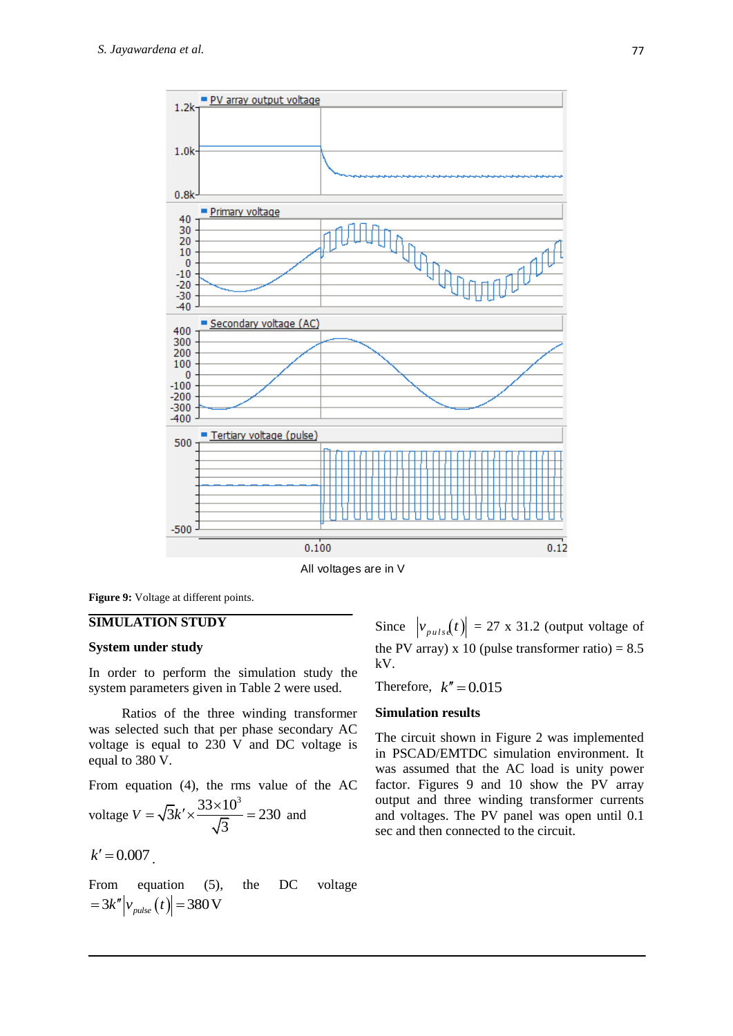

All voltages are in V

**Figure 9:** Voltage at different points.

#### **SIMULATION STUDY**

#### **System under study**

In order to perform the simulation study the system parameters given in Table 2 were used.

Ratios of the three winding transformer was selected such that per phase secondary AC voltage is equal to 230 V and DC voltage is equal to 380 V.

From equation (4), the rms value of the AC voltage *V*  $\sqrt{3k' \times \frac{33 \times 10^3}{5}}$  = 230 3  $=\sqrt{3k' \times \frac{33 \times 10^3}{\sqrt{2}}} = 230$  and

$$
k'=0.007
$$

From equation (5), the DC voltage  $=3k''\left|v_{pulse}(t)\right|=380\,\mathrm{V}$ 

Since  $|v_{puls}(t)| = 27 \times 31.2$  (output voltage of the PV array) x 10 (pulse transformer ratio) =  $8.5$ kV.

Therefore,  $k'' = 0.015$ 

### **Simulation results**

The circuit shown in Figure 2 was implemented in PSCAD/EMTDC simulation environment. It was assumed that the AC load is unity power factor. Figures 9 and 10 show the PV array output and three winding transformer currents and voltages. The PV panel was open until 0.1 sec and then connected to the circuit.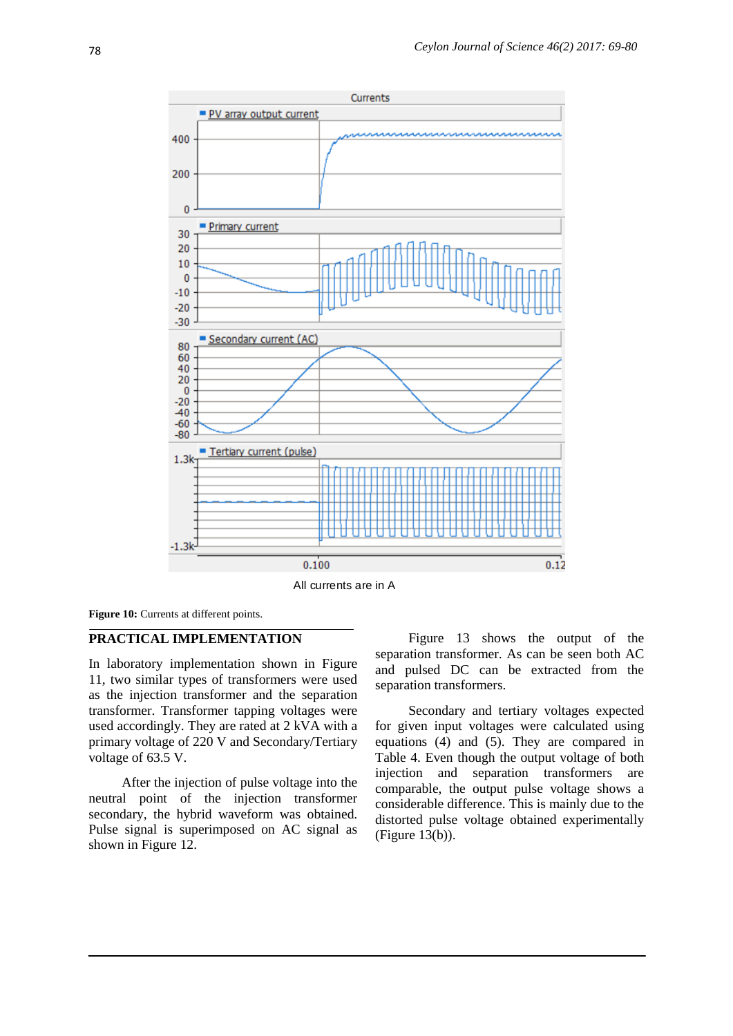

All currents are in A

Figure 10: Currents at different points.

## **PRACTICAL IMPLEMENTATION**

In laboratory implementation shown in Figure 11, two similar types of transformers were used as the injection transformer and the separation transformer. Transformer tapping voltages were used accordingly. They are rated at 2 kVA with a primary voltage of 220 V and Secondary/Tertiary voltage of 63.5 V.

After the injection of pulse voltage into the neutral point of the injection transformer secondary, the hybrid waveform was obtained. Pulse signal is superimposed on AC signal as shown in [Figure 1](#page-10-0)2.

Figure 13 shows the output of the separation transformer. As can be seen both AC and pulsed DC can be extracted from the separation transformers.

Secondary and tertiary voltages expected for given input voltages were calculated using equations (4) and (5). They are compared in Table 4. Even though the output voltage of both injection and separation transformers are comparable, the output pulse voltage shows a considerable difference. This is mainly due to the distorted pulse voltage obtained experimentally (Figure 13(b)).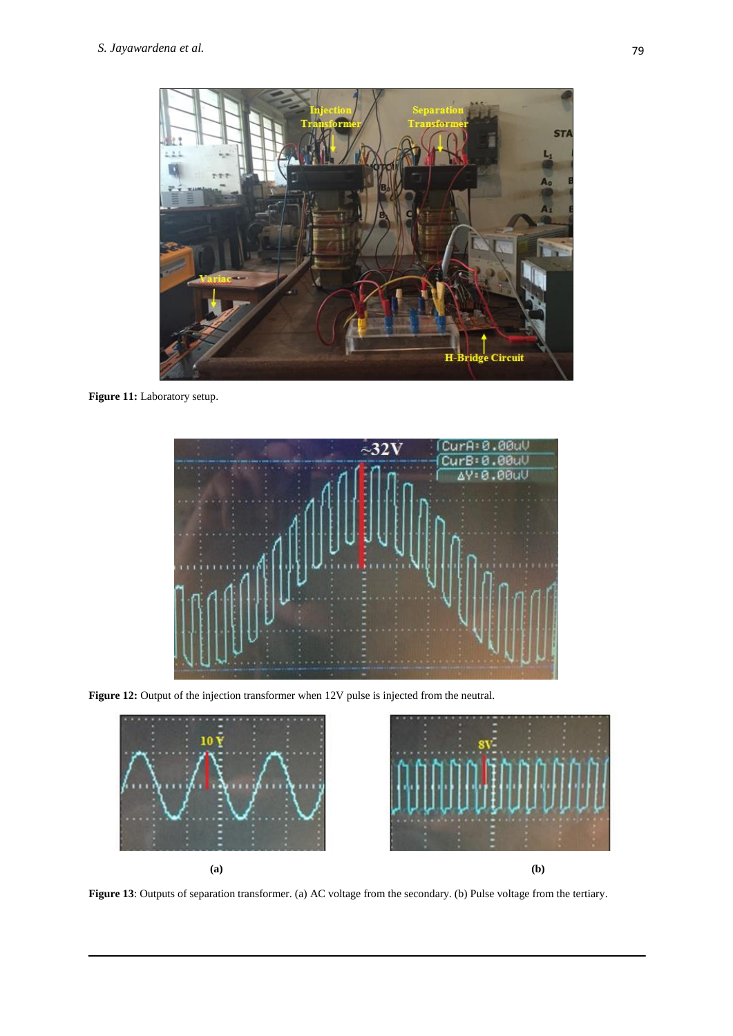

Figure 11: Laboratory setup.



<span id="page-10-0"></span>Figure 12: Output of the injection transformer when 12V pulse is injected from the neutral.



**Figure 13**: Outputs of separation transformer. (a) AC voltage from the secondary. (b) Pulse voltage from the tertiary.